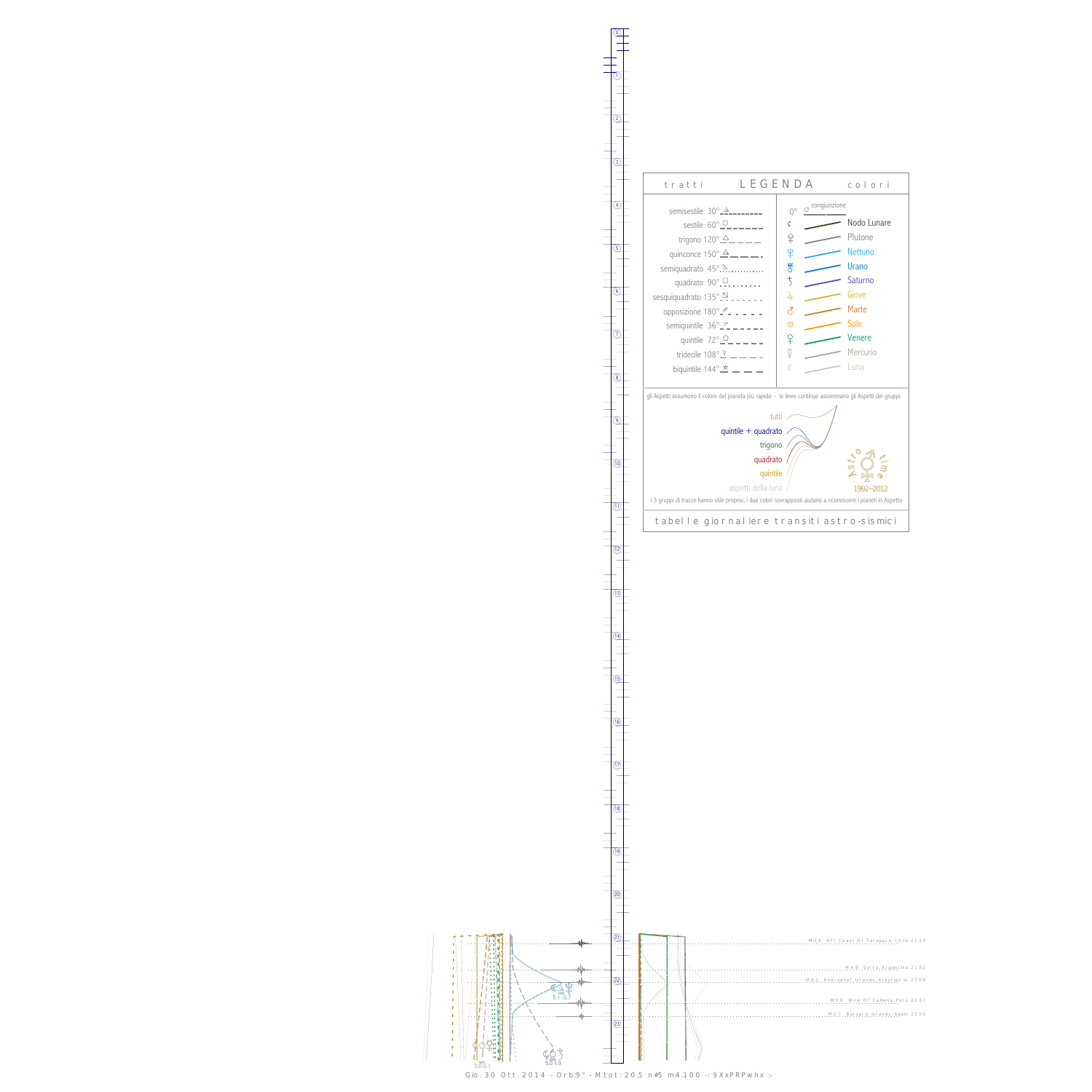Ш